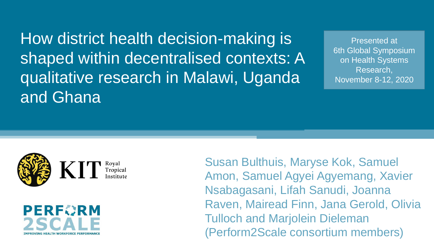How district health decision-making is shaped within decentralised contexts: A qualitative research in Malawi, Uganda and Ghana

Presented at 6th Global Symposium on Health Systems Research, November 8-12, 2020





Susan Bulthuis, Maryse Kok, Samuel Amon, Samuel Agyei Agyemang, Xavier Nsabagasani, Lifah Sanudi, Joanna Raven, Mairead Finn, Jana Gerold, Olivia Tulloch and Marjolein Dieleman (Perform2Scale consortium members)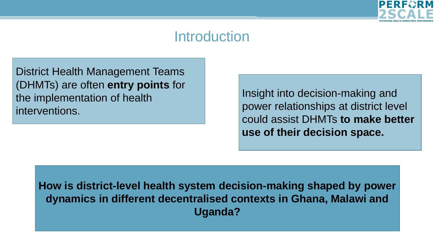

### **Introduction**

District Health Management Teams (DHMTs) are often **entry points** for the implementation of health interventions.

Insight into decision-making and power relationships at district level could assist DHMTs **to make better use of their decision space.** 

**How is district-level health system decision-making shaped by power dynamics in different decentralised contexts in Ghana, Malawi and Uganda?**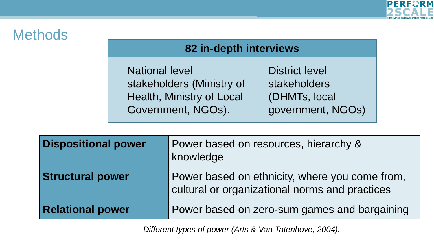

## **Methods**

#### **82 in-depth interviews**

National level stakeholders (Ministry of Health, Ministry of Local Government, NGOs).

District level stakeholders (DHMTs, local government, NGOs)

| <b>Dispositional power</b> | Power based on resources, hierarchy &<br>knowledge                                               |
|----------------------------|--------------------------------------------------------------------------------------------------|
| <b>Structural power</b>    | Power based on ethnicity, where you come from,<br>cultural or organizational norms and practices |
| <b>Relational power</b>    | Power based on zero-sum games and bargaining                                                     |

*Different types of power (Arts & Van Tatenhove, 2004).*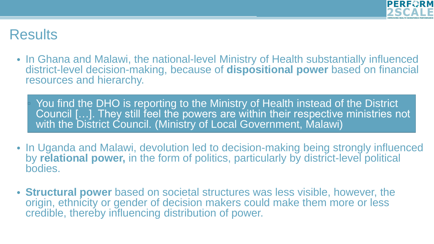

## **Results**

- In Ghana and Malawi, the national-level Ministry of Health substantially influenced district-level decision-making, because of **dispositional power** based on financial resources and hierarchy.
	- You find the DHO is reporting to the Ministry of Health instead of the District Council […]. They still feel the powers are within their respective ministries not with the District Council. (Ministry of Local Government, Malawi)
- In Uganda and Malawi, devolution led to decision-making being strongly influenced by **relational power,** in the form of politics, particularly by district-level political bodies.
- **Structural power** based on societal structures was less visible, however, the origin, ethnicity or gender of decision makers could make them more or less credible, thereby influencing distribution of power.